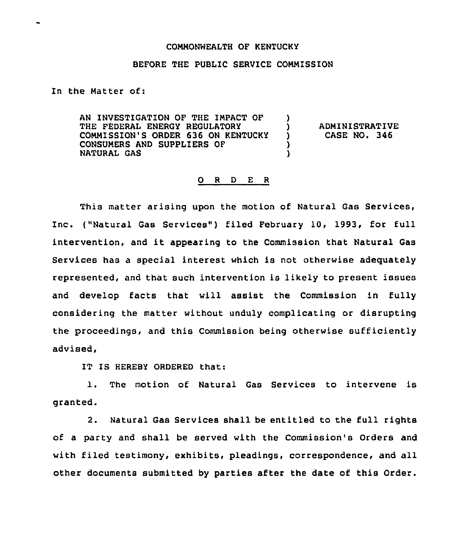## COMMONWEALTH OF KENTUCKY

## BEFORE THE PUBLIC SERVICE COMMISSION

In the Matter of:

AN INVESTIGATION OF THE IMPACT OF THE FEDERAL ENERGY REGULATORY COMMISSION'S ORDER 636 ON KENTUCKY CONSUMERS AND SUPPLIERS OF NATURAL GAS ) ) )

) ADMINISTRATIVE<br>} CASE NO. 346 ) CASE NO. 346

## 0 <sup>R</sup> <sup>D</sup> E <sup>R</sup>

This matter arising upon the motion of Natural Gas Services, Inc. ("Natural Gas Services") filed February 10, 1993, for full intervention, and it appearing to the Commission that Natural Gas Services has a special interest which is not otherwise adequately represented, and that such intervention is likely to present issues and develop facts that will assist the Commission in fully considering the matter without unduly complicating or disrupting the proceedings, and this Commission being otherwise sufficiently advised,

IT IS HEREBY ORDERED that:

1. The motion of Natural Gas Services to intervene is granted.

2. Natural Gas Services shall be entitled to the full rights of a party and shall be served with the Commission's Orders and with filed testimony, exhibits, pleadings, correspondence, and all other documents submitted by parties after the date of this Order.